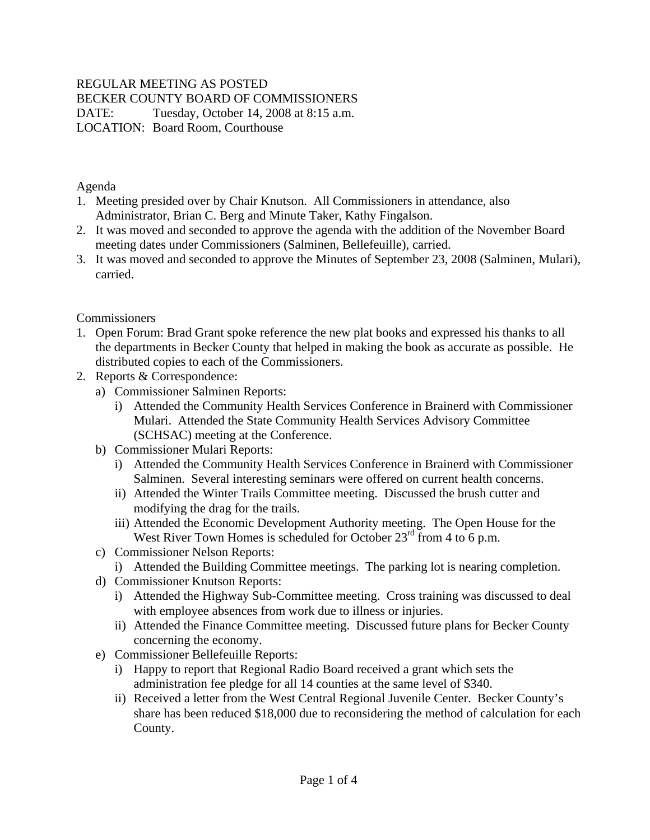## REGULAR MEETING AS POSTED

BECKER COUNTY BOARD OF COMMISSIONERS

DATE: Tuesday, October 14, 2008 at 8:15 a.m. LOCATION: Board Room, Courthouse

Agenda

- 1. Meeting presided over by Chair Knutson. All Commissioners in attendance, also Administrator, Brian C. Berg and Minute Taker, Kathy Fingalson.
- 2. It was moved and seconded to approve the agenda with the addition of the November Board meeting dates under Commissioners (Salminen, Bellefeuille), carried.
- 3. It was moved and seconded to approve the Minutes of September 23, 2008 (Salminen, Mulari), carried.

#### **Commissioners**

- 1. Open Forum: Brad Grant spoke reference the new plat books and expressed his thanks to all the departments in Becker County that helped in making the book as accurate as possible. He distributed copies to each of the Commissioners.
- 2. Reports & Correspondence:
	- a) Commissioner Salminen Reports:
		- i) Attended the Community Health Services Conference in Brainerd with Commissioner Mulari. Attended the State Community Health Services Advisory Committee (SCHSAC) meeting at the Conference.
	- b) Commissioner Mulari Reports:
		- i) Attended the Community Health Services Conference in Brainerd with Commissioner Salminen. Several interesting seminars were offered on current health concerns.
		- ii) Attended the Winter Trails Committee meeting. Discussed the brush cutter and modifying the drag for the trails.
		- iii) Attended the Economic Development Authority meeting. The Open House for the West River Town Homes is scheduled for October  $23<sup>rd</sup>$  from 4 to 6 p.m.
	- c) Commissioner Nelson Reports:
		- i) Attended the Building Committee meetings. The parking lot is nearing completion.
	- d) Commissioner Knutson Reports:
		- i) Attended the Highway Sub-Committee meeting. Cross training was discussed to deal with employee absences from work due to illness or injuries.
		- ii) Attended the Finance Committee meeting. Discussed future plans for Becker County concerning the economy.
	- e) Commissioner Bellefeuille Reports:
		- i) Happy to report that Regional Radio Board received a grant which sets the administration fee pledge for all 14 counties at the same level of \$340.
		- ii) Received a letter from the West Central Regional Juvenile Center. Becker County's share has been reduced \$18,000 due to reconsidering the method of calculation for each County.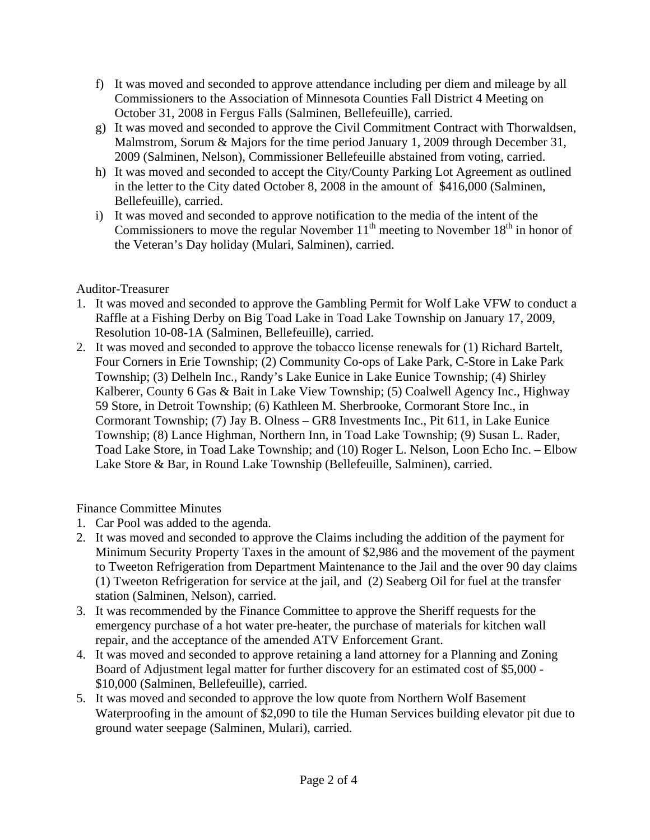- f) It was moved and seconded to approve attendance including per diem and mileage by all Commissioners to the Association of Minnesota Counties Fall District 4 Meeting on October 31, 2008 in Fergus Falls (Salminen, Bellefeuille), carried.
- g) It was moved and seconded to approve the Civil Commitment Contract with Thorwaldsen, Malmstrom, Sorum & Majors for the time period January 1, 2009 through December 31, 2009 (Salminen, Nelson), Commissioner Bellefeuille abstained from voting, carried.
- h) It was moved and seconded to accept the City/County Parking Lot Agreement as outlined in the letter to the City dated October 8, 2008 in the amount of \$416,000 (Salminen, Bellefeuille), carried.
- i) It was moved and seconded to approve notification to the media of the intent of the Commissioners to move the regular November  $11<sup>th</sup>$  meeting to November  $18<sup>th</sup>$  in honor of the Veteran's Day holiday (Mulari, Salminen), carried.

## Auditor-Treasurer

- 1. It was moved and seconded to approve the Gambling Permit for Wolf Lake VFW to conduct a Raffle at a Fishing Derby on Big Toad Lake in Toad Lake Township on January 17, 2009, Resolution 10-08-1A (Salminen, Bellefeuille), carried.
- 2. It was moved and seconded to approve the tobacco license renewals for (1) Richard Bartelt, Four Corners in Erie Township; (2) Community Co-ops of Lake Park, C-Store in Lake Park Township; (3) Delheln Inc., Randy's Lake Eunice in Lake Eunice Township; (4) Shirley Kalberer, County 6 Gas & Bait in Lake View Township; (5) Coalwell Agency Inc., Highway 59 Store, in Detroit Township; (6) Kathleen M. Sherbrooke, Cormorant Store Inc., in Cormorant Township; (7) Jay B. Olness – GR8 Investments Inc., Pit 611, in Lake Eunice Township; (8) Lance Highman, Northern Inn, in Toad Lake Township; (9) Susan L. Rader, Toad Lake Store, in Toad Lake Township; and (10) Roger L. Nelson, Loon Echo Inc. – Elbow Lake Store & Bar, in Round Lake Township (Bellefeuille, Salminen), carried.

# Finance Committee Minutes

- 1. Car Pool was added to the agenda.
- 2. It was moved and seconded to approve the Claims including the addition of the payment for Minimum Security Property Taxes in the amount of \$2,986 and the movement of the payment to Tweeton Refrigeration from Department Maintenance to the Jail and the over 90 day claims (1) Tweeton Refrigeration for service at the jail, and (2) Seaberg Oil for fuel at the transfer station (Salminen, Nelson), carried.
- 3. It was recommended by the Finance Committee to approve the Sheriff requests for the emergency purchase of a hot water pre-heater, the purchase of materials for kitchen wall repair, and the acceptance of the amended ATV Enforcement Grant.
- 4. It was moved and seconded to approve retaining a land attorney for a Planning and Zoning Board of Adjustment legal matter for further discovery for an estimated cost of \$5,000 - \$10,000 (Salminen, Bellefeuille), carried.
- 5. It was moved and seconded to approve the low quote from Northern Wolf Basement Waterproofing in the amount of \$2,090 to tile the Human Services building elevator pit due to ground water seepage (Salminen, Mulari), carried.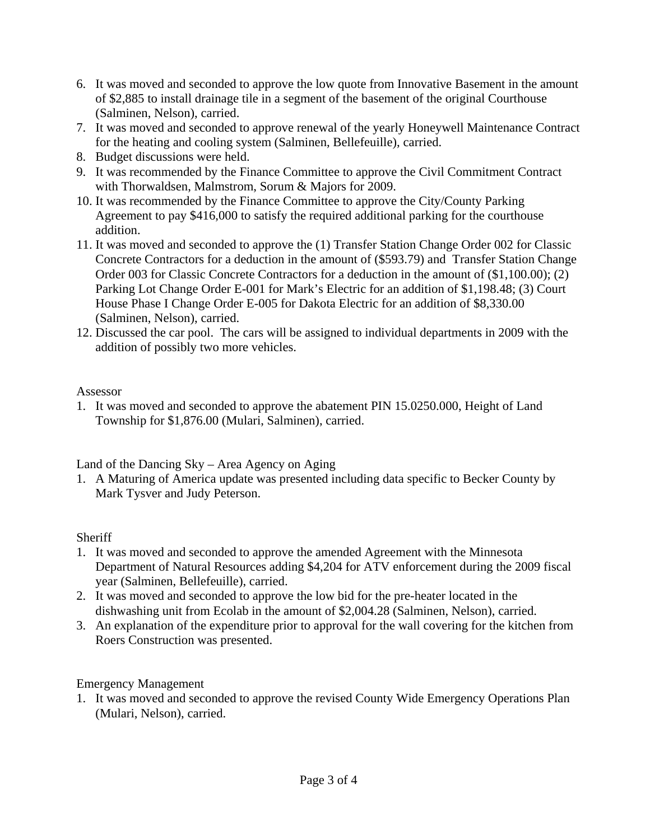- 6. It was moved and seconded to approve the low quote from Innovative Basement in the amount of \$2,885 to install drainage tile in a segment of the basement of the original Courthouse (Salminen, Nelson), carried.
- 7. It was moved and seconded to approve renewal of the yearly Honeywell Maintenance Contract for the heating and cooling system (Salminen, Bellefeuille), carried.
- 8. Budget discussions were held.
- 9. It was recommended by the Finance Committee to approve the Civil Commitment Contract with Thorwaldsen, Malmstrom, Sorum & Majors for 2009.
- 10. It was recommended by the Finance Committee to approve the City/County Parking Agreement to pay \$416,000 to satisfy the required additional parking for the courthouse addition.
- 11. It was moved and seconded to approve the (1) Transfer Station Change Order 002 for Classic Concrete Contractors for a deduction in the amount of (\$593.79) and Transfer Station Change Order 003 for Classic Concrete Contractors for a deduction in the amount of (\$1,100.00); (2) Parking Lot Change Order E-001 for Mark's Electric for an addition of \$1,198.48; (3) Court House Phase I Change Order E-005 for Dakota Electric for an addition of \$8,330.00 (Salminen, Nelson), carried.
- 12. Discussed the car pool. The cars will be assigned to individual departments in 2009 with the addition of possibly two more vehicles.

### Assessor

1. It was moved and seconded to approve the abatement PIN 15.0250.000, Height of Land Township for \$1,876.00 (Mulari, Salminen), carried.

Land of the Dancing Sky – Area Agency on Aging

1. A Maturing of America update was presented including data specific to Becker County by Mark Tysver and Judy Peterson.

### **Sheriff**

- 1. It was moved and seconded to approve the amended Agreement with the Minnesota Department of Natural Resources adding \$4,204 for ATV enforcement during the 2009 fiscal year (Salminen, Bellefeuille), carried.
- 2. It was moved and seconded to approve the low bid for the pre-heater located in the dishwashing unit from Ecolab in the amount of \$2,004.28 (Salminen, Nelson), carried.
- 3. An explanation of the expenditure prior to approval for the wall covering for the kitchen from Roers Construction was presented.

Emergency Management

1. It was moved and seconded to approve the revised County Wide Emergency Operations Plan (Mulari, Nelson), carried.